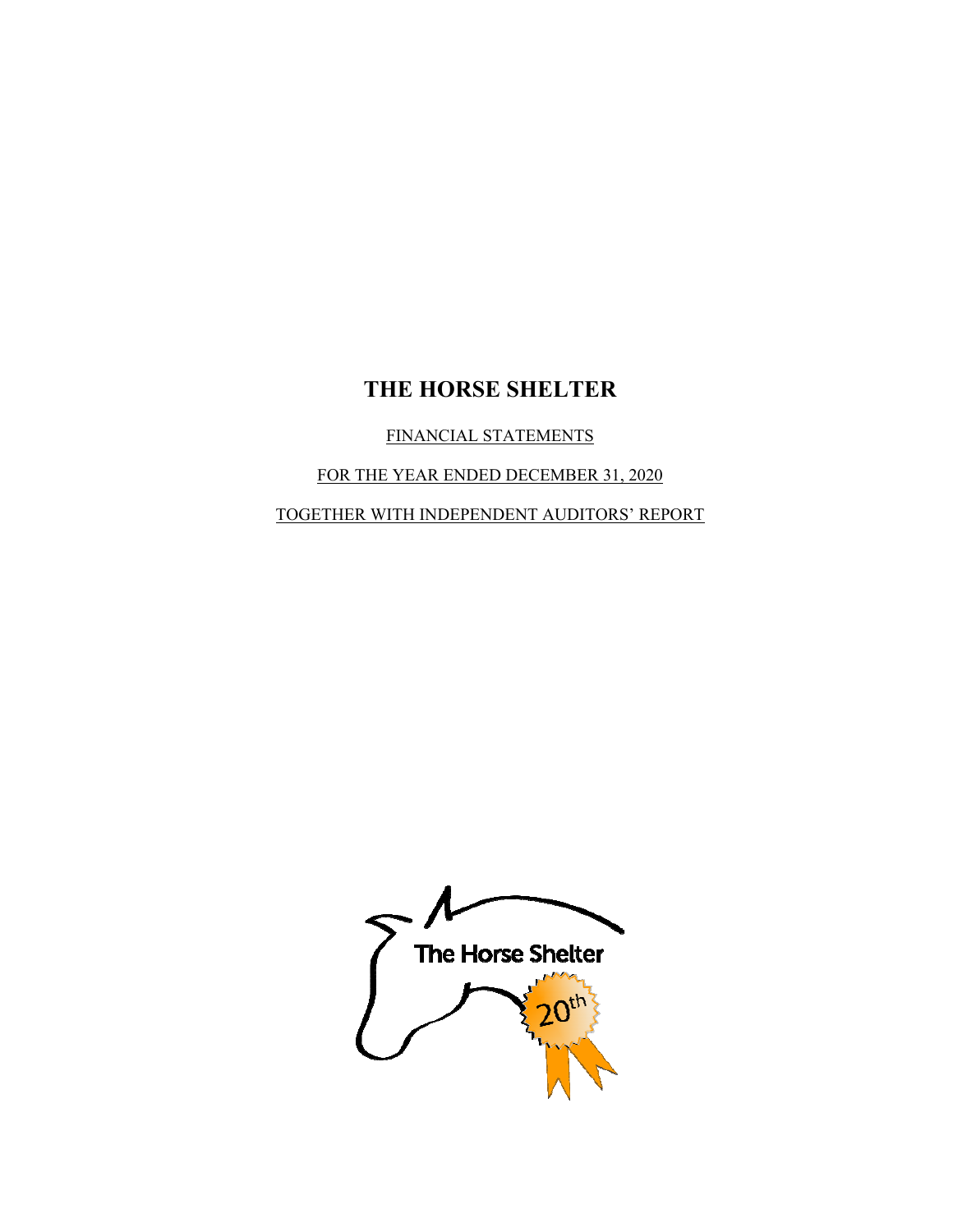FINANCIAL STATEMENTS

FOR THE YEAR ENDED DECEMBER 31, 2020

TOGETHER WITH INDEPENDENT AUDITORS' REPORT

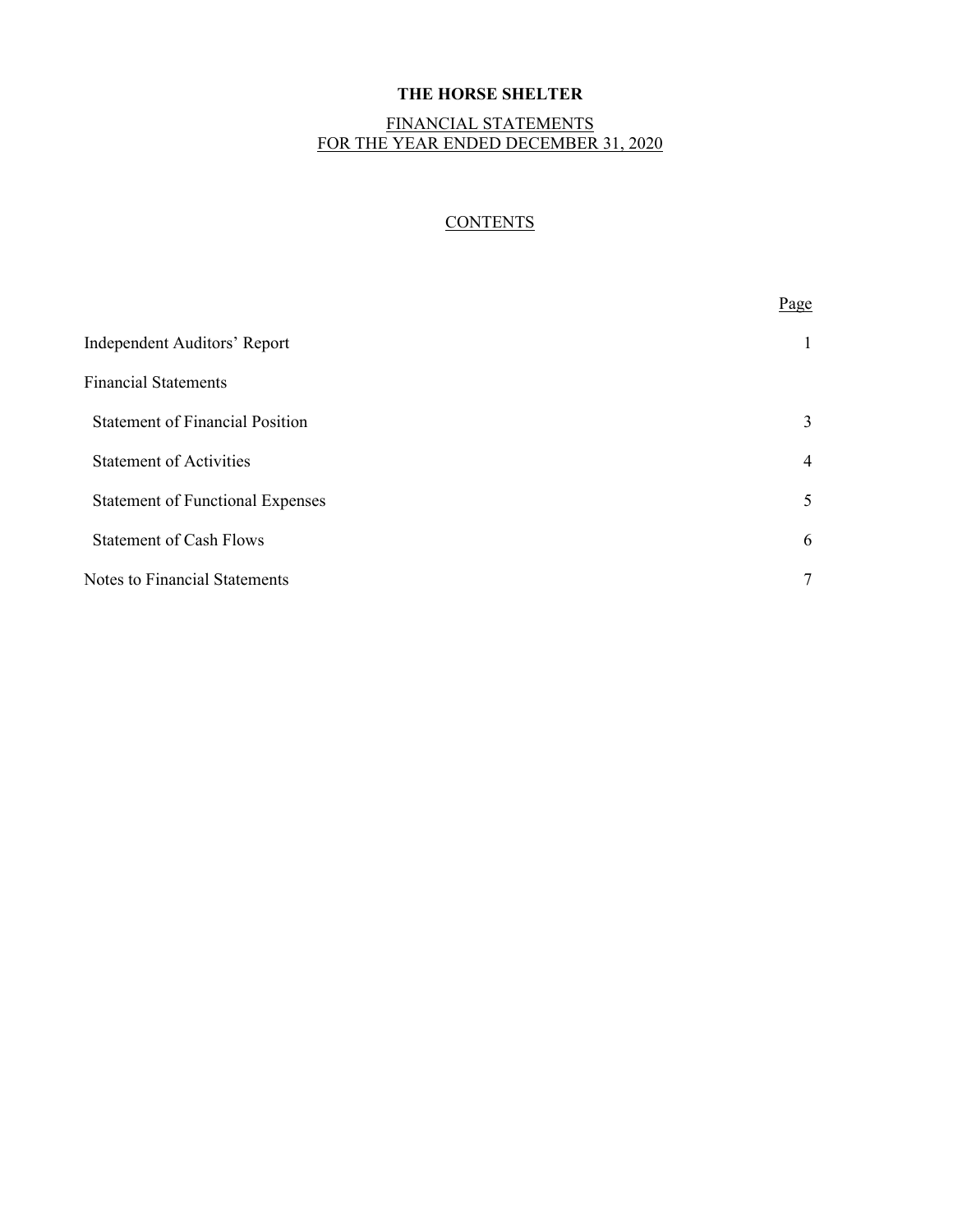### FINANCIAL STATEMENTS FOR THE YEAR ENDED DECEMBER 31, 2020

### **CONTENTS**

|                                         | Page |
|-----------------------------------------|------|
| Independent Auditors' Report            | 1    |
| <b>Financial Statements</b>             |      |
| <b>Statement of Financial Position</b>  | 3    |
| <b>Statement of Activities</b>          | 4    |
| <b>Statement of Functional Expenses</b> | 5    |
| <b>Statement of Cash Flows</b>          | 6    |
| Notes to Financial Statements           | 7    |
|                                         |      |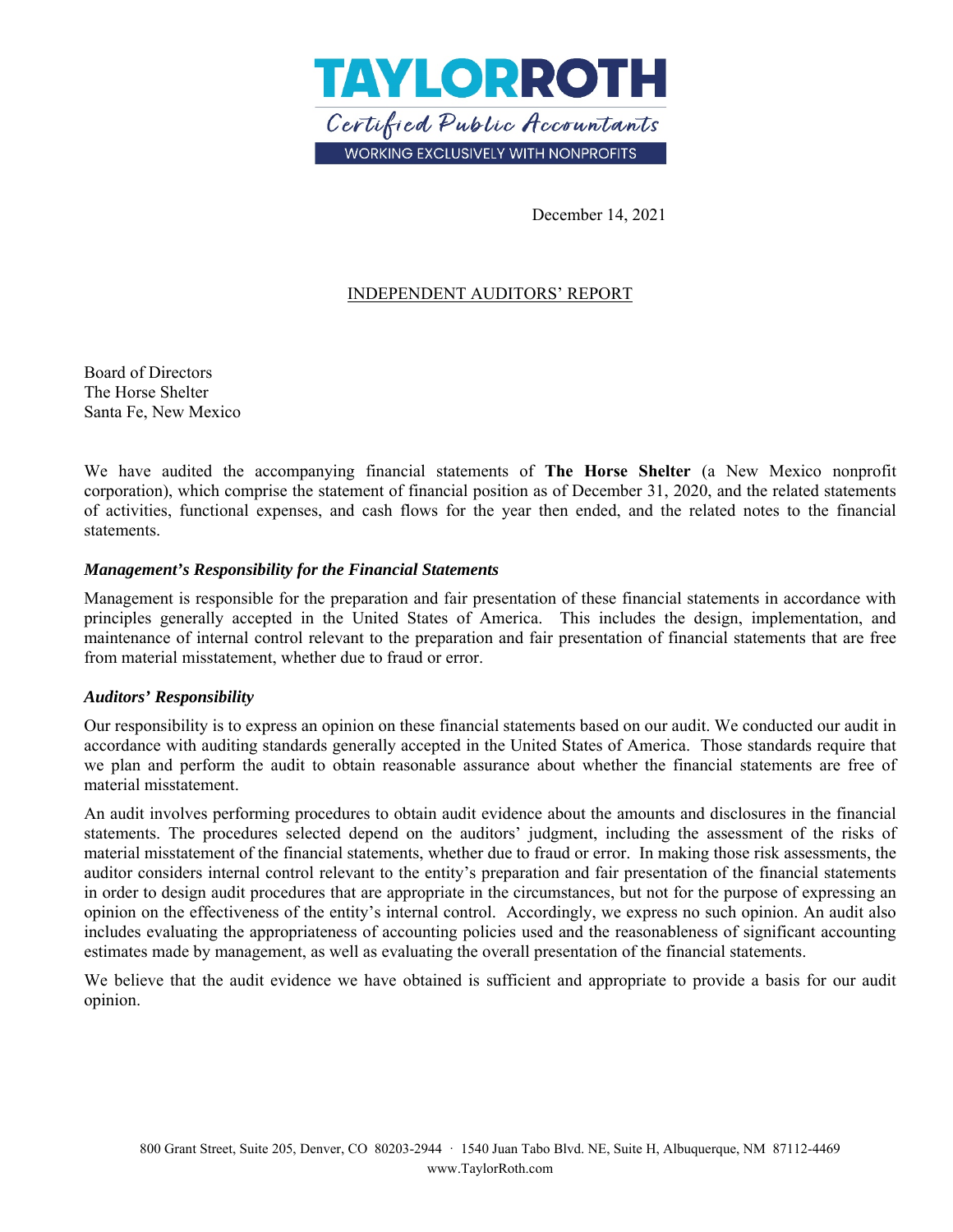

December 14, 2021

### INDEPENDENT AUDITORS' REPORT

Board of Directors The Horse Shelter Santa Fe, New Mexico

We have audited the accompanying financial statements of **The Horse Shelter** (a New Mexico nonprofit corporation), which comprise the statement of financial position as of December 31, 2020, and the related statements of activities, functional expenses, and cash flows for the year then ended, and the related notes to the financial statements.

### *Management's Responsibility for the Financial Statements*

Management is responsible for the preparation and fair presentation of these financial statements in accordance with principles generally accepted in the United States of America. This includes the design, implementation, and maintenance of internal control relevant to the preparation and fair presentation of financial statements that are free from material misstatement, whether due to fraud or error.

#### *Auditors' Responsibility*

Our responsibility is to express an opinion on these financial statements based on our audit. We conducted our audit in accordance with auditing standards generally accepted in the United States of America. Those standards require that we plan and perform the audit to obtain reasonable assurance about whether the financial statements are free of material misstatement.

An audit involves performing procedures to obtain audit evidence about the amounts and disclosures in the financial statements. The procedures selected depend on the auditors' judgment, including the assessment of the risks of material misstatement of the financial statements, whether due to fraud or error. In making those risk assessments, the auditor considers internal control relevant to the entity's preparation and fair presentation of the financial statements in order to design audit procedures that are appropriate in the circumstances, but not for the purpose of expressing an opinion on the effectiveness of the entity's internal control. Accordingly, we express no such opinion. An audit also includes evaluating the appropriateness of accounting policies used and the reasonableness of significant accounting estimates made by management, as well as evaluating the overall presentation of the financial statements.

We believe that the audit evidence we have obtained is sufficient and appropriate to provide a basis for our audit opinion.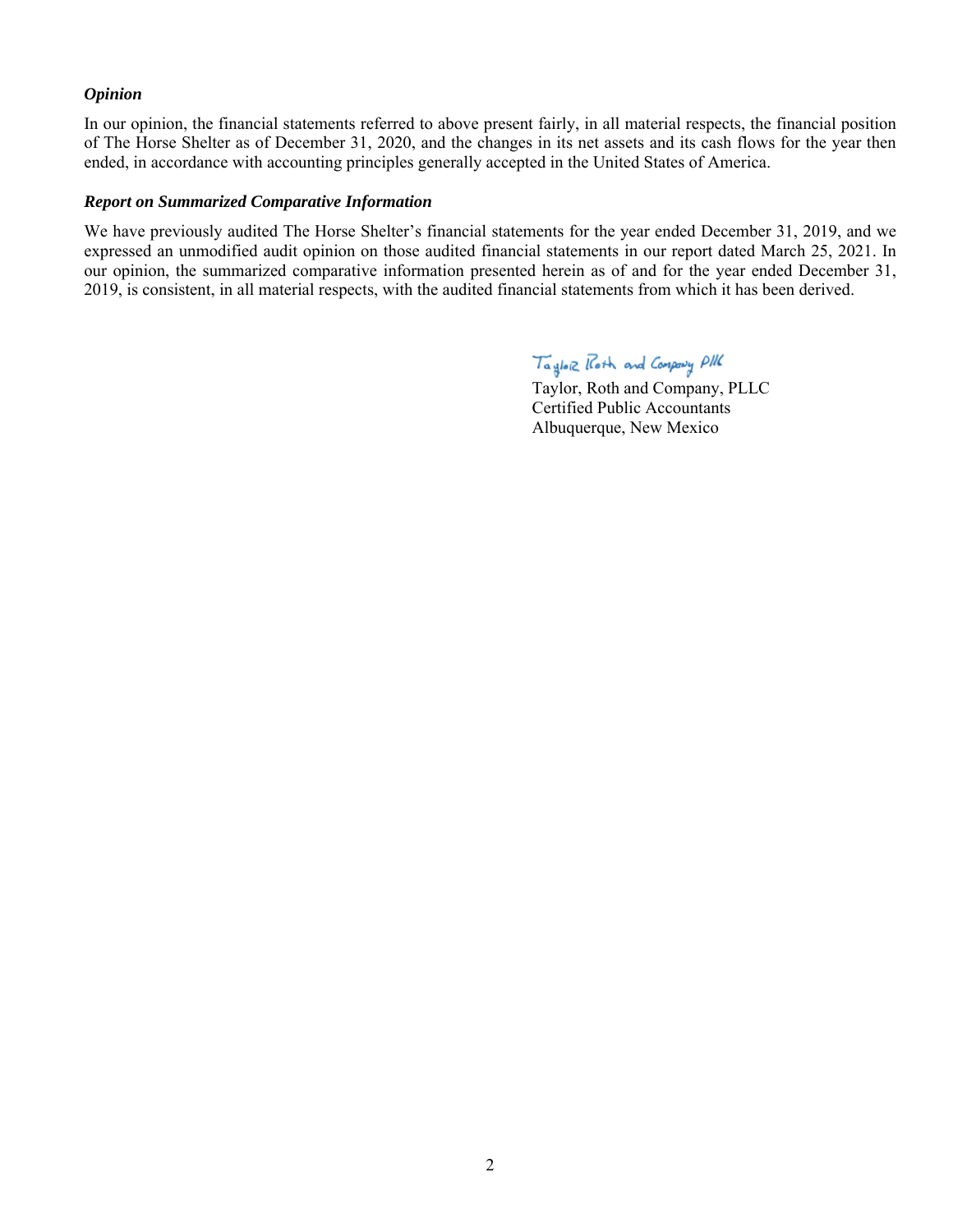#### *Opinion*

In our opinion, the financial statements referred to above present fairly, in all material respects, the financial position of The Horse Shelter as of December 31, 2020, and the changes in its net assets and its cash flows for the year then ended, in accordance with accounting principles generally accepted in the United States of America.

#### *Report on Summarized Comparative Information*

We have previously audited The Horse Shelter's financial statements for the year ended December 31, 2019, and we expressed an unmodified audit opinion on those audited financial statements in our report dated March 25, 2021. In our opinion, the summarized comparative information presented herein as of and for the year ended December 31, 2019, is consistent, in all material respects, with the audited financial statements from which it has been derived.

Taylor Roth and Compony PIK

 Taylor, Roth and Company, PLLC Certified Public Accountants Albuquerque, New Mexico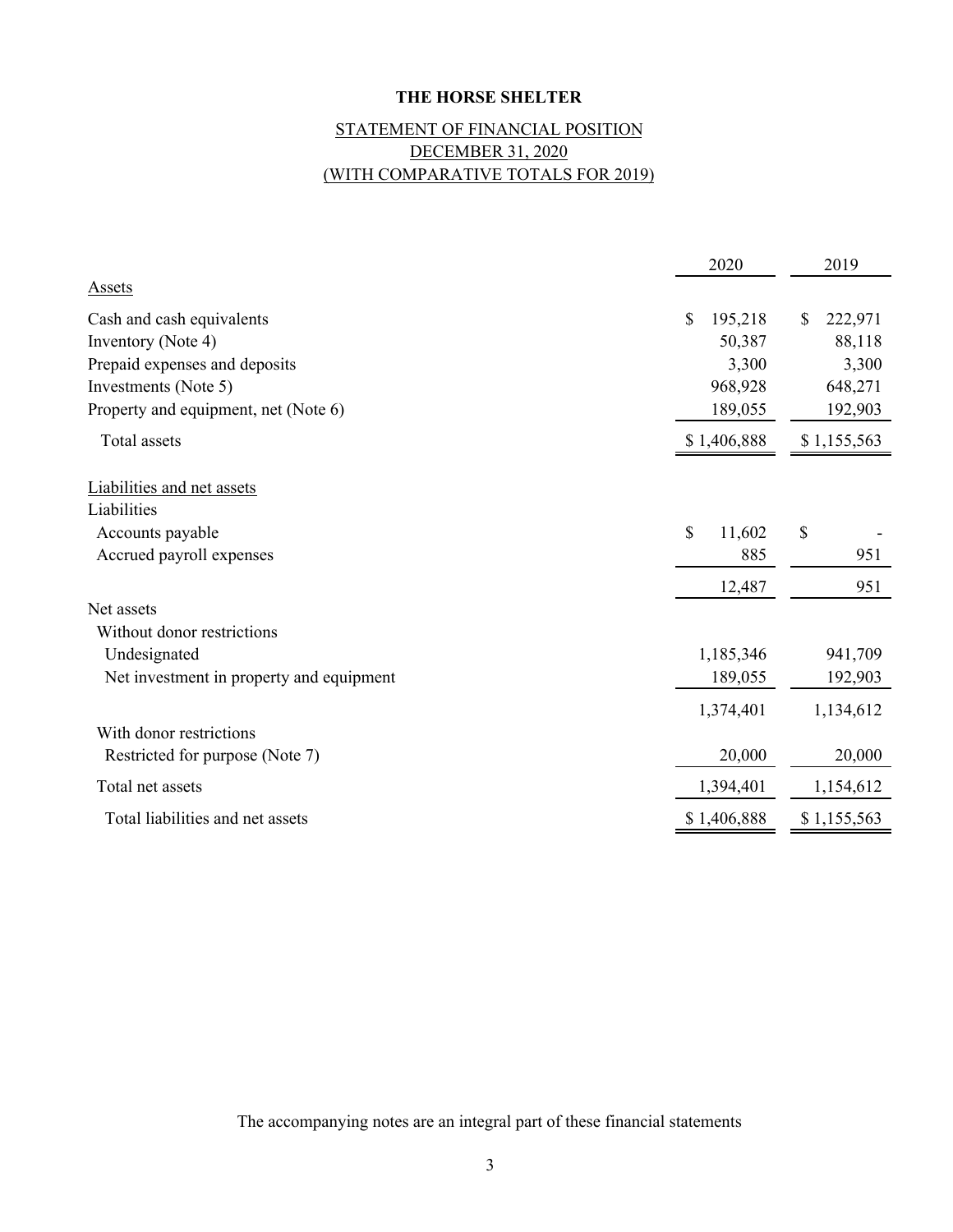# (WITH COMPARATIVE TOTALS FOR 2019) DECEMBER 31, 2020 STATEMENT OF FINANCIAL POSITION

|                                          | 2020          | 2019           |
|------------------------------------------|---------------|----------------|
| <b>Assets</b>                            |               |                |
| Cash and cash equivalents                | 195,218<br>\$ | 222,971<br>\$. |
| Inventory (Note 4)                       | 50,387        | 88,118         |
| Prepaid expenses and deposits            | 3,300         | 3,300          |
| Investments (Note 5)                     | 968,928       | 648,271        |
| Property and equipment, net (Note 6)     | 189,055       | 192,903        |
| <b>Total</b> assets                      | \$1,406,888   | \$1,155,563    |
| Liabilities and net assets               |               |                |
| Liabilities                              |               |                |
| Accounts payable                         | \$<br>11,602  | \$             |
| Accrued payroll expenses                 | 885           | 951            |
|                                          | 12,487        | 951            |
| Net assets                               |               |                |
| Without donor restrictions               |               |                |
| Undesignated                             | 1,185,346     | 941,709        |
| Net investment in property and equipment | 189,055       | 192,903        |
|                                          | 1,374,401     | 1,134,612      |
| With donor restrictions                  |               |                |
| Restricted for purpose (Note 7)          | 20,000        | 20,000         |
| Total net assets                         | 1,394,401     | 1,154,612      |
| Total liabilities and net assets         | \$1,406,888   | \$1,155,563    |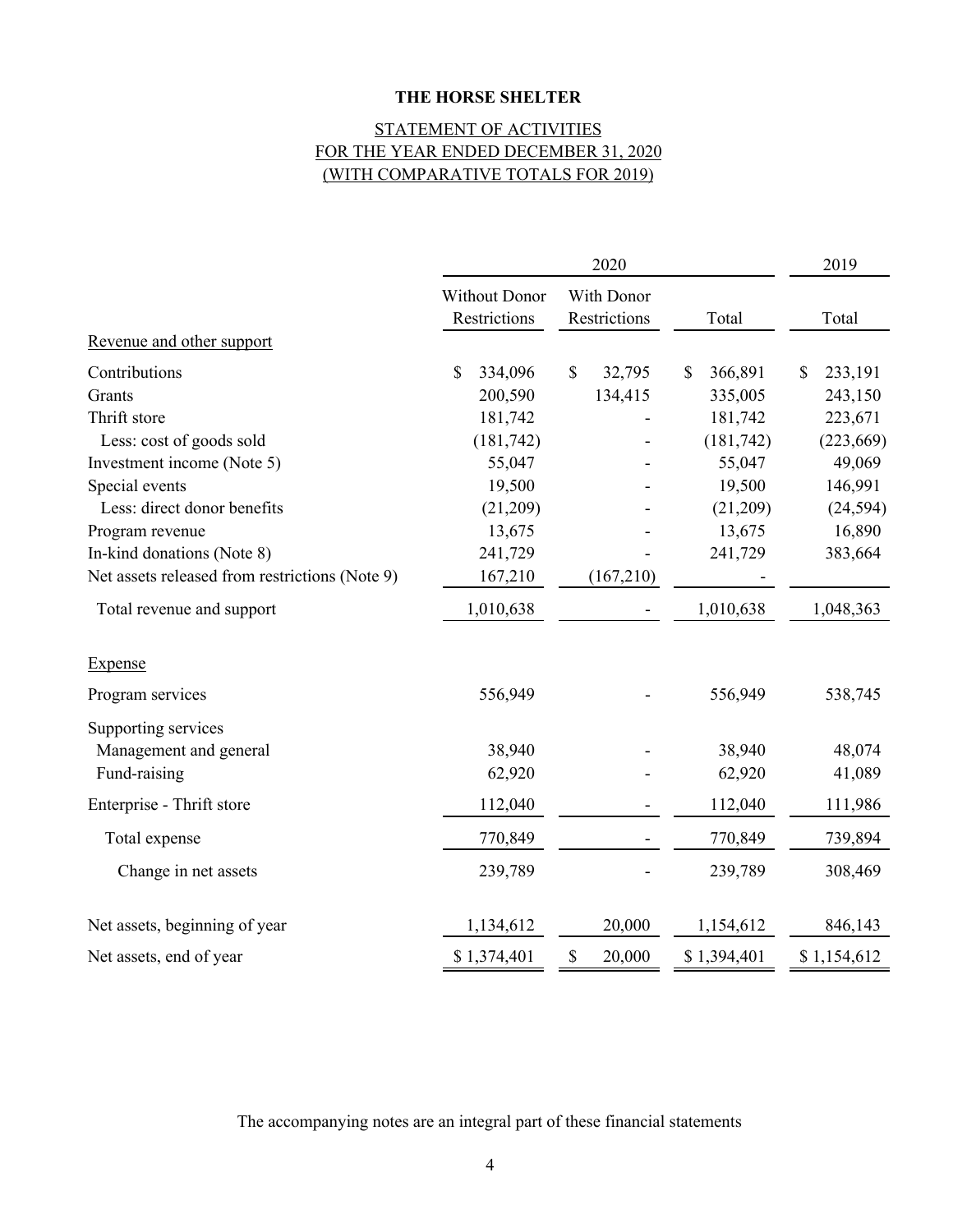# (WITH COMPARATIVE TOTALS FOR 2019) FOR THE YEAR ENDED DECEMBER 31, 2020 STATEMENT OF ACTIVITIES

|                                                |                                      | 2020                       |               | 2019          |
|------------------------------------------------|--------------------------------------|----------------------------|---------------|---------------|
|                                                | <b>Without Donor</b><br>Restrictions | With Donor<br>Restrictions | Total         | Total         |
| Revenue and other support                      |                                      |                            |               |               |
| Contributions                                  | \$<br>334,096                        | $\mathbb{S}$<br>32,795     | 366,891<br>\$ | \$<br>233,191 |
| Grants                                         | 200,590                              | 134,415                    | 335,005       | 243,150       |
| Thrift store                                   | 181,742                              |                            | 181,742       | 223,671       |
| Less: cost of goods sold                       | (181, 742)                           |                            | (181,742)     | (223, 669)    |
| Investment income (Note 5)                     | 55,047                               |                            | 55,047        | 49,069        |
| Special events                                 | 19,500                               |                            | 19,500        | 146,991       |
| Less: direct donor benefits                    | (21,209)                             |                            | (21,209)      | (24, 594)     |
| Program revenue                                | 13,675                               |                            | 13,675        | 16,890        |
| In-kind donations (Note 8)                     | 241,729                              |                            | 241,729       | 383,664       |
| Net assets released from restrictions (Note 9) | 167,210                              | (167,210)                  |               |               |
| Total revenue and support                      | 1,010,638                            |                            | 1,010,638     | 1,048,363     |
| <b>Expense</b>                                 |                                      |                            |               |               |
| Program services                               | 556,949                              |                            | 556,949       | 538,745       |
| Supporting services                            |                                      |                            |               |               |
| Management and general                         | 38,940                               |                            | 38,940        | 48,074        |
| Fund-raising                                   | 62,920                               |                            | 62,920        | 41,089        |
| Enterprise - Thrift store                      | 112,040                              |                            | 112,040       | 111,986       |
| Total expense                                  | 770,849                              |                            | 770,849       | 739,894       |
| Change in net assets                           | 239,789                              |                            | 239,789       | 308,469       |
| Net assets, beginning of year                  | 1,134,612                            | 20,000                     | 1,154,612     | 846,143       |
| Net assets, end of year                        | \$1,374,401                          | \$<br>20,000               | \$1,394,401   | \$1,154,612   |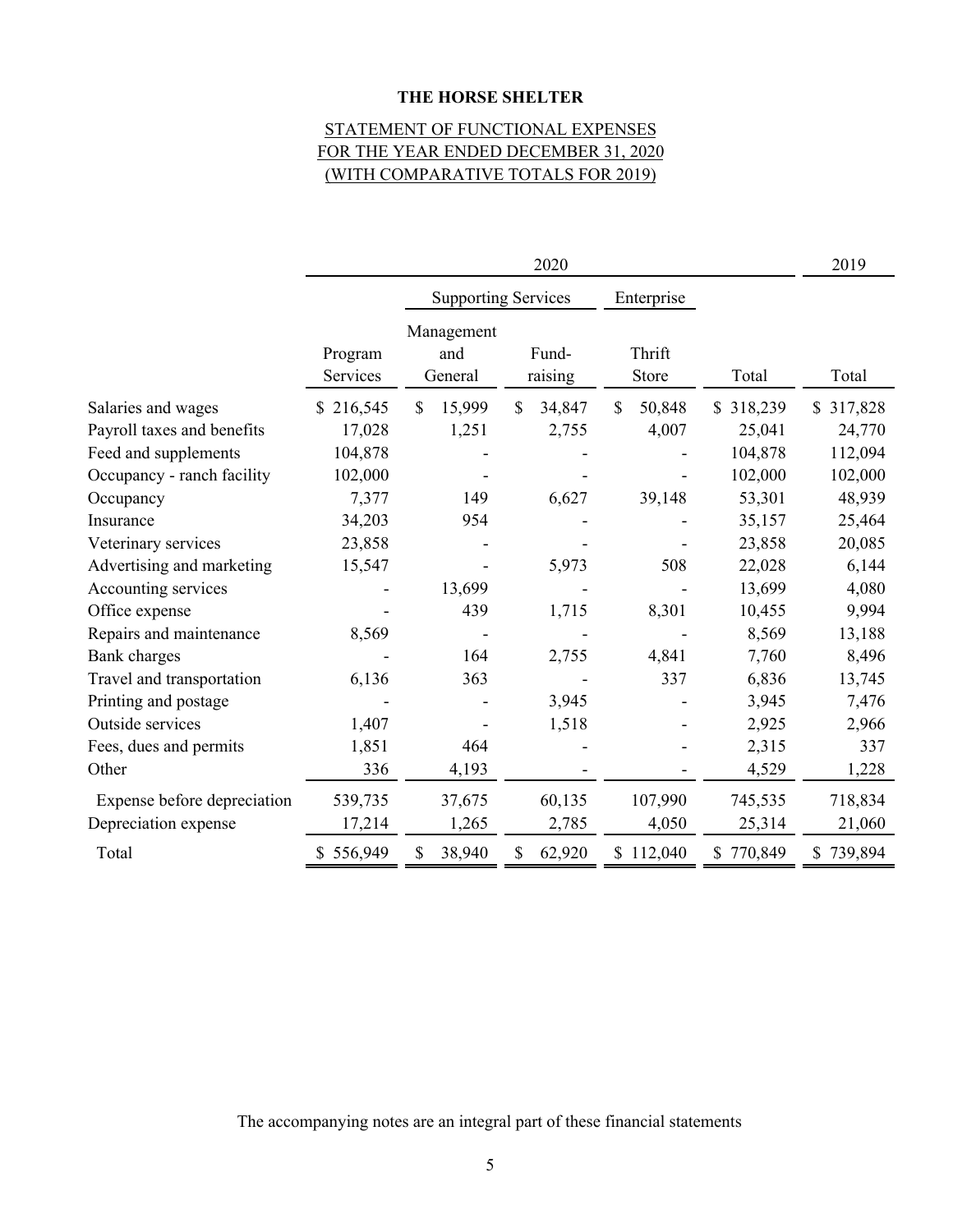# STATEMENT OF FUNCTIONAL EXPENSES FOR THE YEAR ENDED DECEMBER 31, 2020 (WITH COMPARATIVE TOTALS FOR 2019)

|                             |                     |                              | 2020                   |                       |           | 2019          |
|-----------------------------|---------------------|------------------------------|------------------------|-----------------------|-----------|---------------|
|                             |                     | <b>Supporting Services</b>   |                        | Enterprise            |           |               |
|                             | Program<br>Services | Management<br>and<br>General | Fund-<br>raising       | Thrift<br>Store       | Total     | Total         |
| Salaries and wages          | \$216,545           | \$<br>15,999                 | 34,847<br>$\mathbb{S}$ | $\mathbf S$<br>50,848 | \$318,239 | \$317,828     |
| Payroll taxes and benefits  | 17,028              | 1,251                        | 2,755                  | 4,007                 | 25,041    | 24,770        |
| Feed and supplements        | 104,878             |                              |                        |                       | 104,878   | 112,094       |
| Occupancy - ranch facility  | 102,000             |                              |                        |                       | 102,000   | 102,000       |
| Occupancy                   | 7,377               | 149                          | 6,627                  | 39,148                | 53,301    | 48,939        |
| Insurance                   | 34,203              | 954                          |                        |                       | 35,157    | 25,464        |
| Veterinary services         | 23,858              |                              |                        |                       | 23,858    | 20,085        |
| Advertising and marketing   | 15,547              |                              | 5,973                  | 508                   | 22,028    | 6,144         |
| Accounting services         |                     | 13,699                       |                        |                       | 13,699    | 4,080         |
| Office expense              |                     | 439                          | 1,715                  | 8,301                 | 10,455    | 9,994         |
| Repairs and maintenance     | 8,569               |                              |                        |                       | 8,569     | 13,188        |
| <b>Bank</b> charges         |                     | 164                          | 2,755                  | 4,841                 | 7,760     | 8,496         |
| Travel and transportation   | 6,136               | 363                          |                        | 337                   | 6,836     | 13,745        |
| Printing and postage        |                     |                              | 3,945                  |                       | 3,945     | 7,476         |
| Outside services            | 1,407               |                              | 1,518                  |                       | 2,925     | 2,966         |
| Fees, dues and permits      | 1,851               | 464                          |                        |                       | 2,315     | 337           |
| Other                       | 336                 | 4,193                        |                        |                       | 4,529     | 1,228         |
| Expense before depreciation | 539,735             | 37,675                       | 60,135                 | 107,990               | 745,535   | 718,834       |
| Depreciation expense        | 17,214              | 1,265                        | 2,785                  | 4,050                 | 25,314    | 21,060        |
| Total                       | \$556,949           | 38,940<br>S                  | 62,920<br>S            | \$112,040             | \$770,849 | 739,894<br>\$ |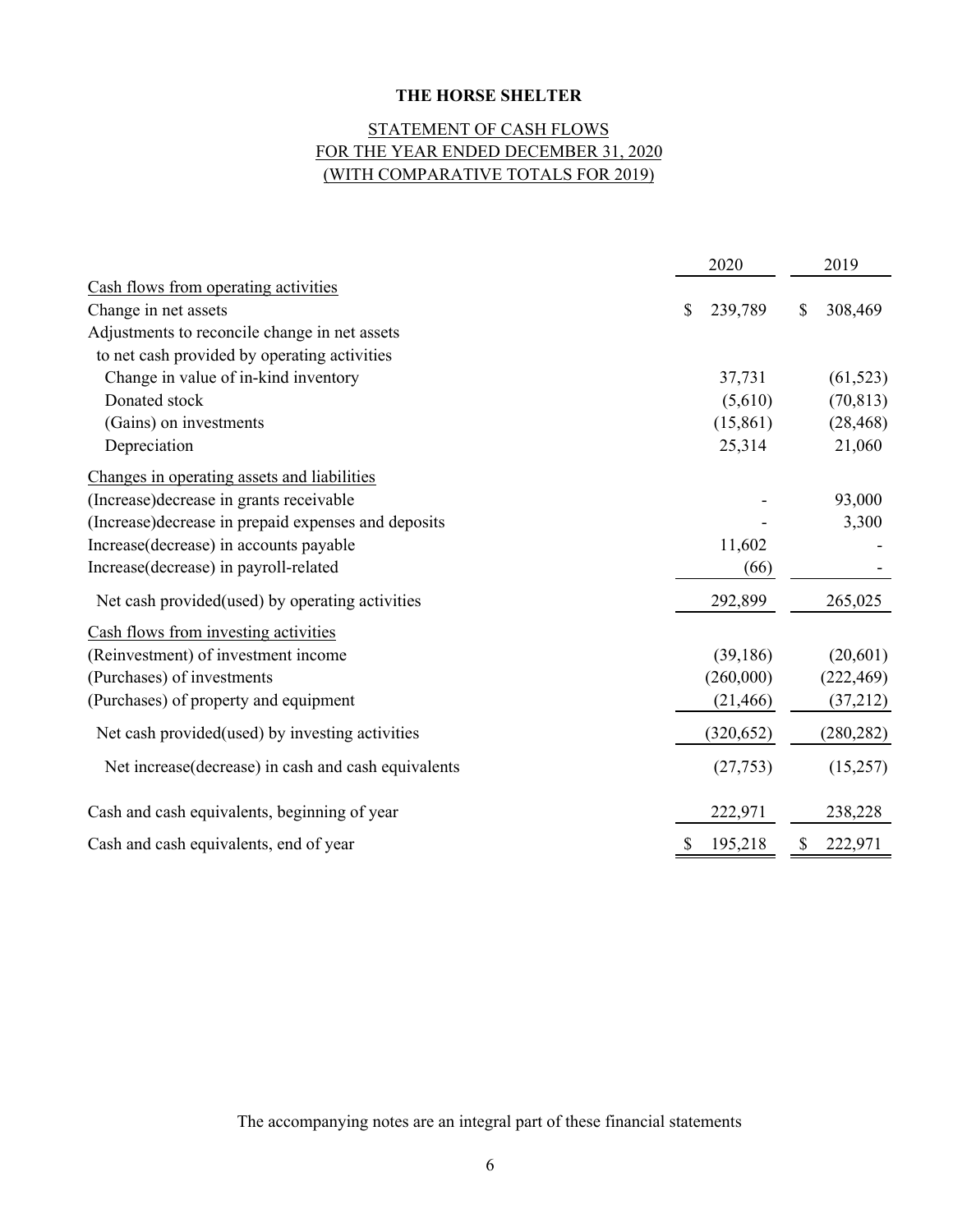# (WITH COMPARATIVE TOTALS FOR 2019) FOR THE YEAR ENDED DECEMBER 31, 2020 STATEMENT OF CASH FLOWS

|                                                      | 2020          | 2019          |
|------------------------------------------------------|---------------|---------------|
| Cash flows from operating activities                 |               |               |
| Change in net assets                                 | \$<br>239,789 | \$<br>308,469 |
| Adjustments to reconcile change in net assets        |               |               |
| to net cash provided by operating activities         |               |               |
| Change in value of in-kind inventory                 | 37,731        | (61, 523)     |
| Donated stock                                        | (5,610)       | (70, 813)     |
| (Gains) on investments                               | (15, 861)     | (28, 468)     |
| Depreciation                                         | 25,314        | 21,060        |
| Changes in operating assets and liabilities          |               |               |
| (Increase) decrease in grants receivable             |               | 93,000        |
| (Increase) decrease in prepaid expenses and deposits |               | 3,300         |
| Increase(decrease) in accounts payable               | 11,602        |               |
| Increase(decrease) in payroll-related                | (66)          |               |
| Net cash provided (used) by operating activities     | 292,899       | 265,025       |
| Cash flows from investing activities                 |               |               |
| (Reinvestment) of investment income                  | (39, 186)     | (20,601)      |
| (Purchases) of investments                           | (260,000)     | (222, 469)    |
| (Purchases) of property and equipment                | (21, 466)     | (37,212)      |
| Net cash provided (used) by investing activities     | (320, 652)    | (280, 282)    |
| Net increase (decrease) in cash and cash equivalents | (27, 753)     | (15,257)      |
| Cash and cash equivalents, beginning of year         | 222,971       | 238,228       |
| Cash and cash equivalents, end of year               | \$<br>195,218 | \$<br>222,971 |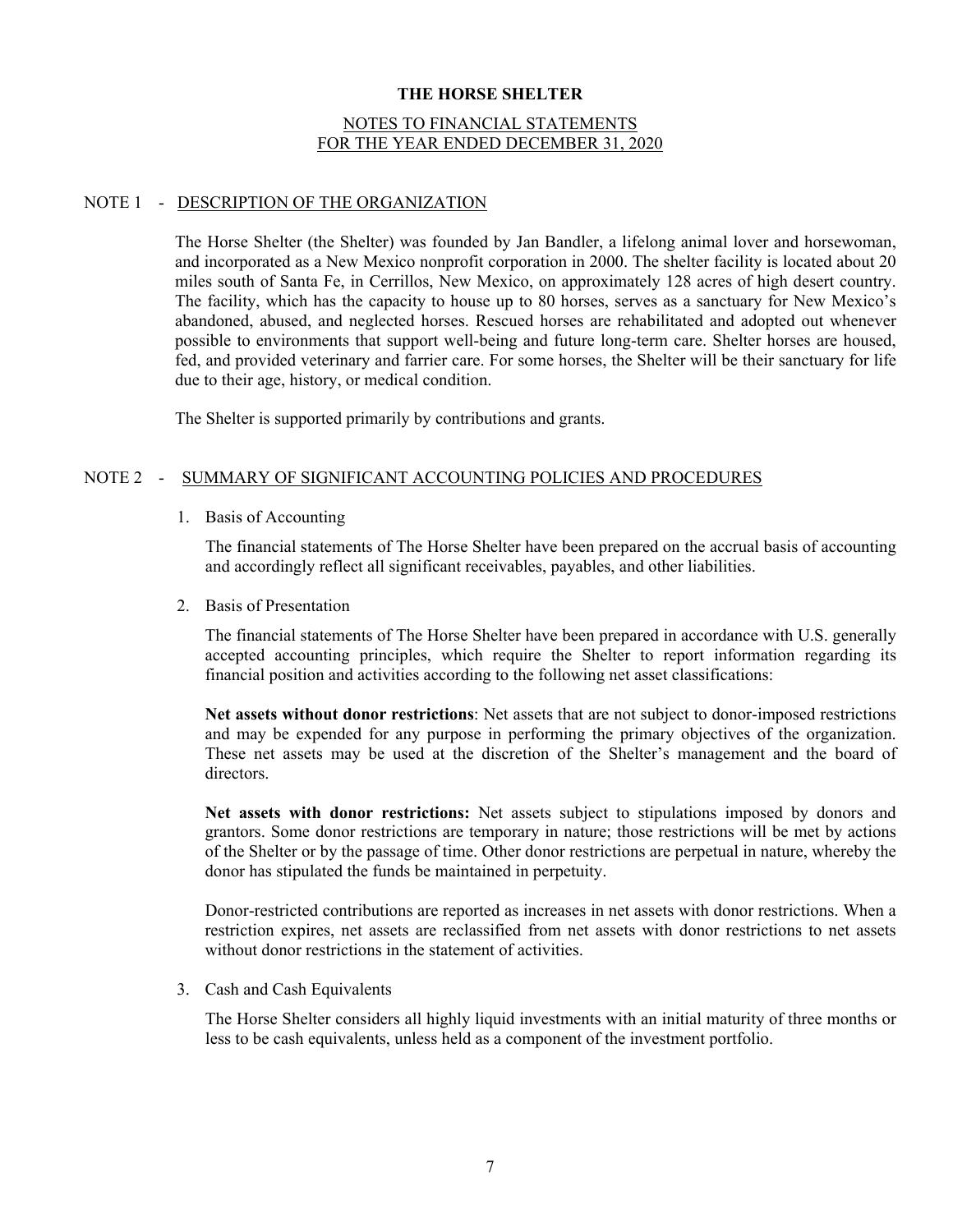#### NOTES TO FINANCIAL STATEMENTS FOR THE YEAR ENDED DECEMBER 31, 2020

#### NOTE 1 - DESCRIPTION OF THE ORGANIZATION

The Horse Shelter (the Shelter) was founded by Jan Bandler, a lifelong animal lover and horsewoman, and incorporated as a New Mexico nonprofit corporation in 2000. The shelter facility is located about 20 miles south of Santa Fe, in Cerrillos, New Mexico, on approximately 128 acres of high desert country. The facility, which has the capacity to house up to 80 horses, serves as a sanctuary for New Mexico's abandoned, abused, and neglected horses. Rescued horses are rehabilitated and adopted out whenever possible to environments that support well-being and future long-term care. Shelter horses are housed, fed, and provided veterinary and farrier care. For some horses, the Shelter will be their sanctuary for life due to their age, history, or medical condition.

The Shelter is supported primarily by contributions and grants.

#### NOTE 2 - SUMMARY OF SIGNIFICANT ACCOUNTING POLICIES AND PROCEDURES

1. Basis of Accounting

The financial statements of The Horse Shelter have been prepared on the accrual basis of accounting and accordingly reflect all significant receivables, payables, and other liabilities.

2. Basis of Presentation

The financial statements of The Horse Shelter have been prepared in accordance with U.S. generally accepted accounting principles, which require the Shelter to report information regarding its financial position and activities according to the following net asset classifications:

**Net assets without donor restrictions**: Net assets that are not subject to donor-imposed restrictions and may be expended for any purpose in performing the primary objectives of the organization. These net assets may be used at the discretion of the Shelter's management and the board of directors.

**Net assets with donor restrictions:** Net assets subject to stipulations imposed by donors and grantors. Some donor restrictions are temporary in nature; those restrictions will be met by actions of the Shelter or by the passage of time. Other donor restrictions are perpetual in nature, whereby the donor has stipulated the funds be maintained in perpetuity.

Donor-restricted contributions are reported as increases in net assets with donor restrictions. When a restriction expires, net assets are reclassified from net assets with donor restrictions to net assets without donor restrictions in the statement of activities.

3. Cash and Cash Equivalents

The Horse Shelter considers all highly liquid investments with an initial maturity of three months or less to be cash equivalents, unless held as a component of the investment portfolio.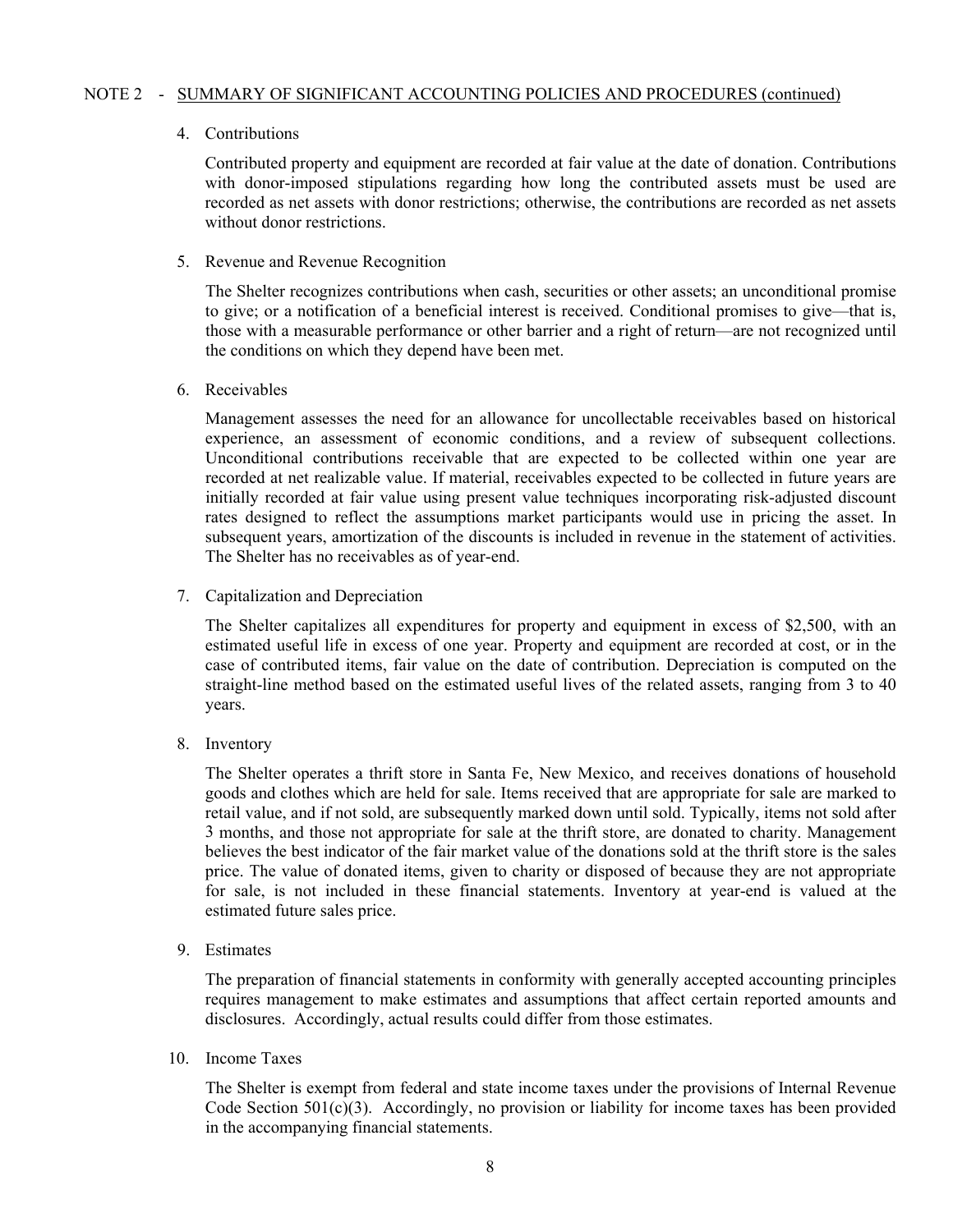#### NOTE 2 - SUMMARY OF SIGNIFICANT ACCOUNTING POLICIES AND PROCEDURES (continued)

#### 4. Contributions

Contributed property and equipment are recorded at fair value at the date of donation. Contributions with donor-imposed stipulations regarding how long the contributed assets must be used are recorded as net assets with donor restrictions; otherwise, the contributions are recorded as net assets without donor restrictions.

5. Revenue and Revenue Recognition

The Shelter recognizes contributions when cash, securities or other assets; an unconditional promise to give; or a notification of a beneficial interest is received. Conditional promises to give—that is, those with a measurable performance or other barrier and a right of return—are not recognized until the conditions on which they depend have been met.

6. Receivables

Management assesses the need for an allowance for uncollectable receivables based on historical experience, an assessment of economic conditions, and a review of subsequent collections. Unconditional contributions receivable that are expected to be collected within one year are recorded at net realizable value. If material, receivables expected to be collected in future years are initially recorded at fair value using present value techniques incorporating risk-adjusted discount rates designed to reflect the assumptions market participants would use in pricing the asset. In subsequent years, amortization of the discounts is included in revenue in the statement of activities. The Shelter has no receivables as of year-end.

7. Capitalization and Depreciation

The Shelter capitalizes all expenditures for property and equipment in excess of \$2,500, with an estimated useful life in excess of one year. Property and equipment are recorded at cost, or in the case of contributed items, fair value on the date of contribution. Depreciation is computed on the straight-line method based on the estimated useful lives of the related assets, ranging from 3 to 40 years.

8. Inventory

The Shelter operates a thrift store in Santa Fe, New Mexico, and receives donations of household goods and clothes which are held for sale. Items received that are appropriate for sale are marked to retail value, and if not sold, are subsequently marked down until sold. Typically, items not sold after 3 months, and those not appropriate for sale at the thrift store, are donated to charity. Management believes the best indicator of the fair market value of the donations sold at the thrift store is the sales price. The value of donated items, given to charity or disposed of because they are not appropriate for sale, is not included in these financial statements. Inventory at year-end is valued at the estimated future sales price.

9. Estimates

The preparation of financial statements in conformity with generally accepted accounting principles requires management to make estimates and assumptions that affect certain reported amounts and disclosures. Accordingly, actual results could differ from those estimates.

10. Income Taxes

The Shelter is exempt from federal and state income taxes under the provisions of Internal Revenue Code Section  $501(c)(3)$ . Accordingly, no provision or liability for income taxes has been provided in the accompanying financial statements.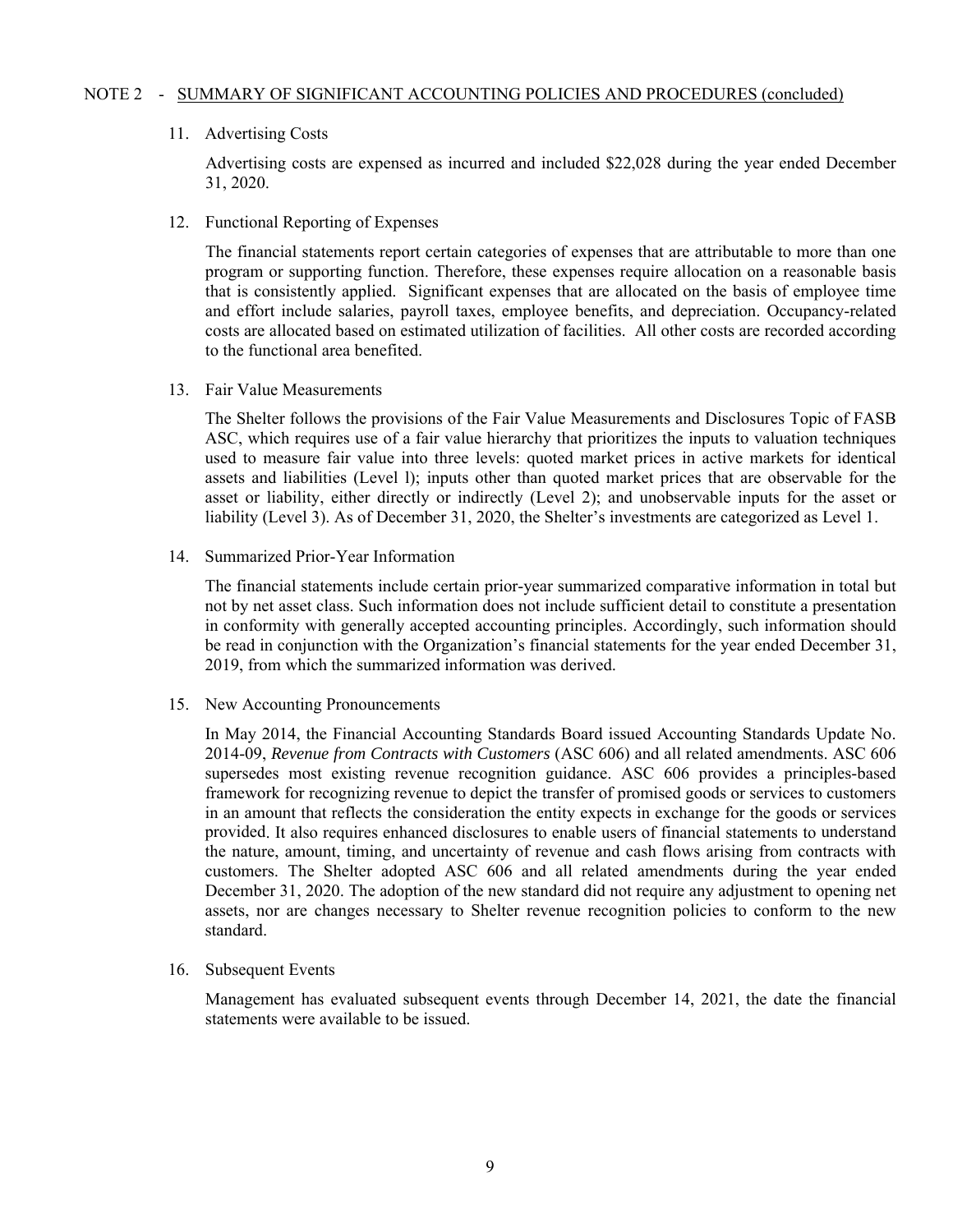#### NOTE 2 - SUMMARY OF SIGNIFICANT ACCOUNTING POLICIES AND PROCEDURES (concluded)

#### 11. Advertising Costs

Advertising costs are expensed as incurred and included \$22,028 during the year ended December 31, 2020.

12. Functional Reporting of Expenses

The financial statements report certain categories of expenses that are attributable to more than one program or supporting function. Therefore, these expenses require allocation on a reasonable basis that is consistently applied. Significant expenses that are allocated on the basis of employee time and effort include salaries, payroll taxes, employee benefits, and depreciation. Occupancy-related costs are allocated based on estimated utilization of facilities. All other costs are recorded according to the functional area benefited.

13. Fair Value Measurements

The Shelter follows the provisions of the Fair Value Measurements and Disclosures Topic of FASB ASC, which requires use of a fair value hierarchy that prioritizes the inputs to valuation techniques used to measure fair value into three levels: quoted market prices in active markets for identical assets and liabilities (Level l); inputs other than quoted market prices that are observable for the asset or liability, either directly or indirectly (Level 2); and unobservable inputs for the asset or liability (Level 3). As of December 31, 2020, the Shelter's investments are categorized as Level 1.

14. Summarized Prior-Year Information

The financial statements include certain prior-year summarized comparative information in total but not by net asset class. Such information does not include sufficient detail to constitute a presentation in conformity with generally accepted accounting principles. Accordingly, such information should be read in conjunction with the Organization's financial statements for the year ended December 31, 2019, from which the summarized information was derived.

15. New Accounting Pronouncements

In May 2014, the Financial Accounting Standards Board issued Accounting Standards Update No. 2014-09, *Revenue from Contracts with Customers* (ASC 606) and all related amendments. ASC 606 supersedes most existing revenue recognition guidance. ASC 606 provides a principles-based framework for recognizing revenue to depict the transfer of promised goods or services to customers in an amount that reflects the consideration the entity expects in exchange for the goods or services provided. It also requires enhanced disclosures to enable users of financial statements to understand the nature, amount, timing, and uncertainty of revenue and cash flows arising from contracts with customers. The Shelter adopted ASC 606 and all related amendments during the year ended December 31, 2020. The adoption of the new standard did not require any adjustment to opening net assets, nor are changes necessary to Shelter revenue recognition policies to conform to the new standard.

16. Subsequent Events

Management has evaluated subsequent events through December 14, 2021, the date the financial statements were available to be issued.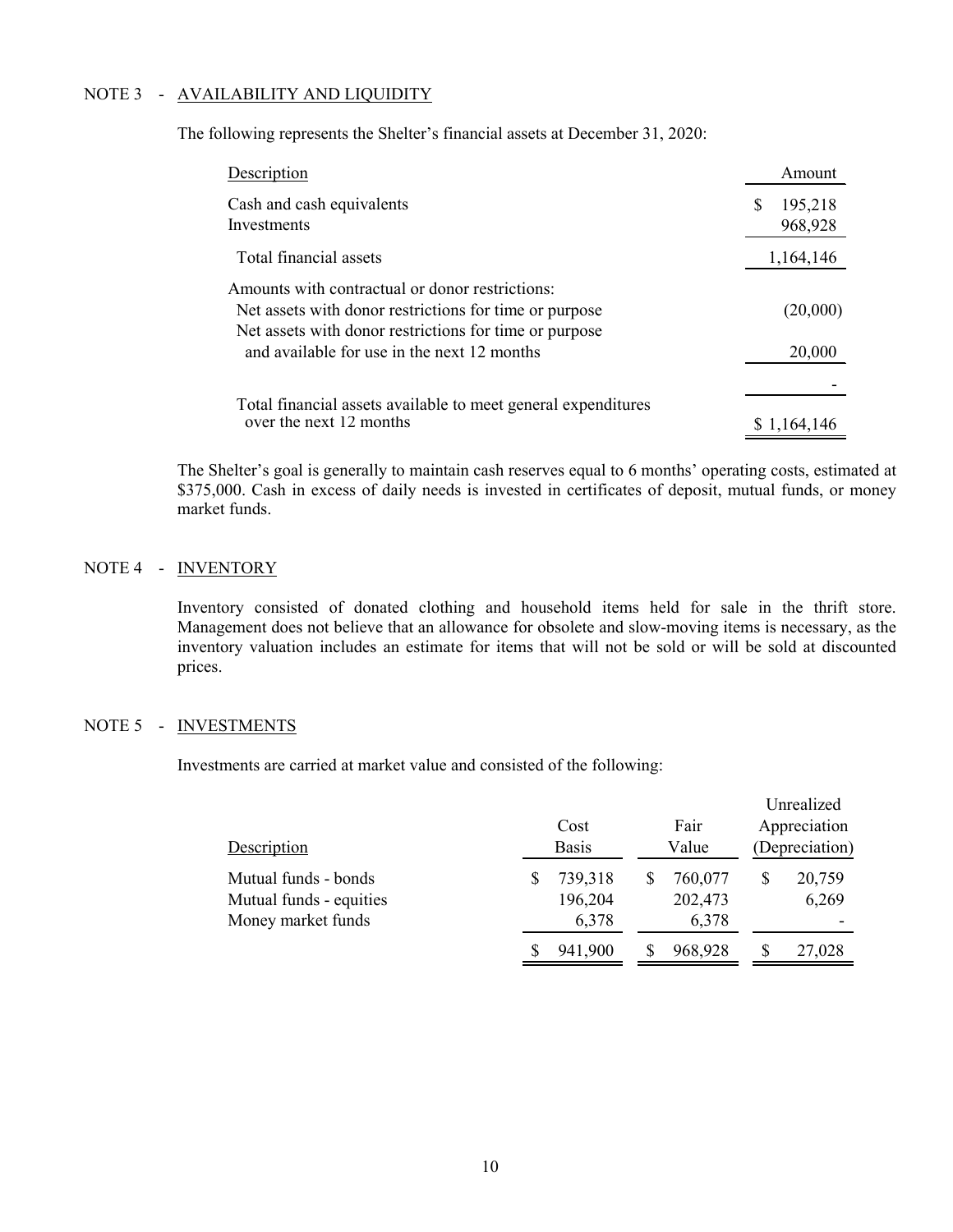### NOTE 3 - AVAILABILITY AND LIQUIDITY

The following represents the Shelter's financial assets at December 31, 2020:

| Description                                                                                                                                                                                                        | Amount                  |
|--------------------------------------------------------------------------------------------------------------------------------------------------------------------------------------------------------------------|-------------------------|
| Cash and cash equivalents<br>Investments                                                                                                                                                                           | 195,218<br>S<br>968,928 |
| Total financial assets                                                                                                                                                                                             | 1,164,146               |
| Amounts with contractual or donor restrictions:<br>Net assets with donor restrictions for time or purpose<br>Net assets with donor restrictions for time or purpose<br>and available for use in the next 12 months | (20,000)<br>20,000      |
| Total financial assets available to meet general expenditures<br>over the next 12 months                                                                                                                           | \$1,164,146             |

The Shelter's goal is generally to maintain cash reserves equal to 6 months' operating costs, estimated at \$375,000. Cash in excess of daily needs is invested in certificates of deposit, mutual funds, or money market funds.

#### NOTE 4 - INVENTORY

Inventory consisted of donated clothing and household items held for sale in the thrift store. Management does not believe that an allowance for obsolete and slow-moving items is necessary, as the inventory valuation includes an estimate for items that will not be sold or will be sold at discounted prices.

#### NOTE 5 - INVESTMENTS

Investments are carried at market value and consisted of the following:

| Description                                                           | Cost<br><b>Basis</b>        | Fair<br>Value               | Unrealized<br>Appreciation<br>(Depreciation) |
|-----------------------------------------------------------------------|-----------------------------|-----------------------------|----------------------------------------------|
| Mutual funds - bonds<br>Mutual funds - equities<br>Money market funds | 739,318<br>196,204<br>6,378 | 760,077<br>202,473<br>6,378 | 20,759<br>\$<br>6,269                        |
|                                                                       | 941,900                     | 968,928                     | 27,028                                       |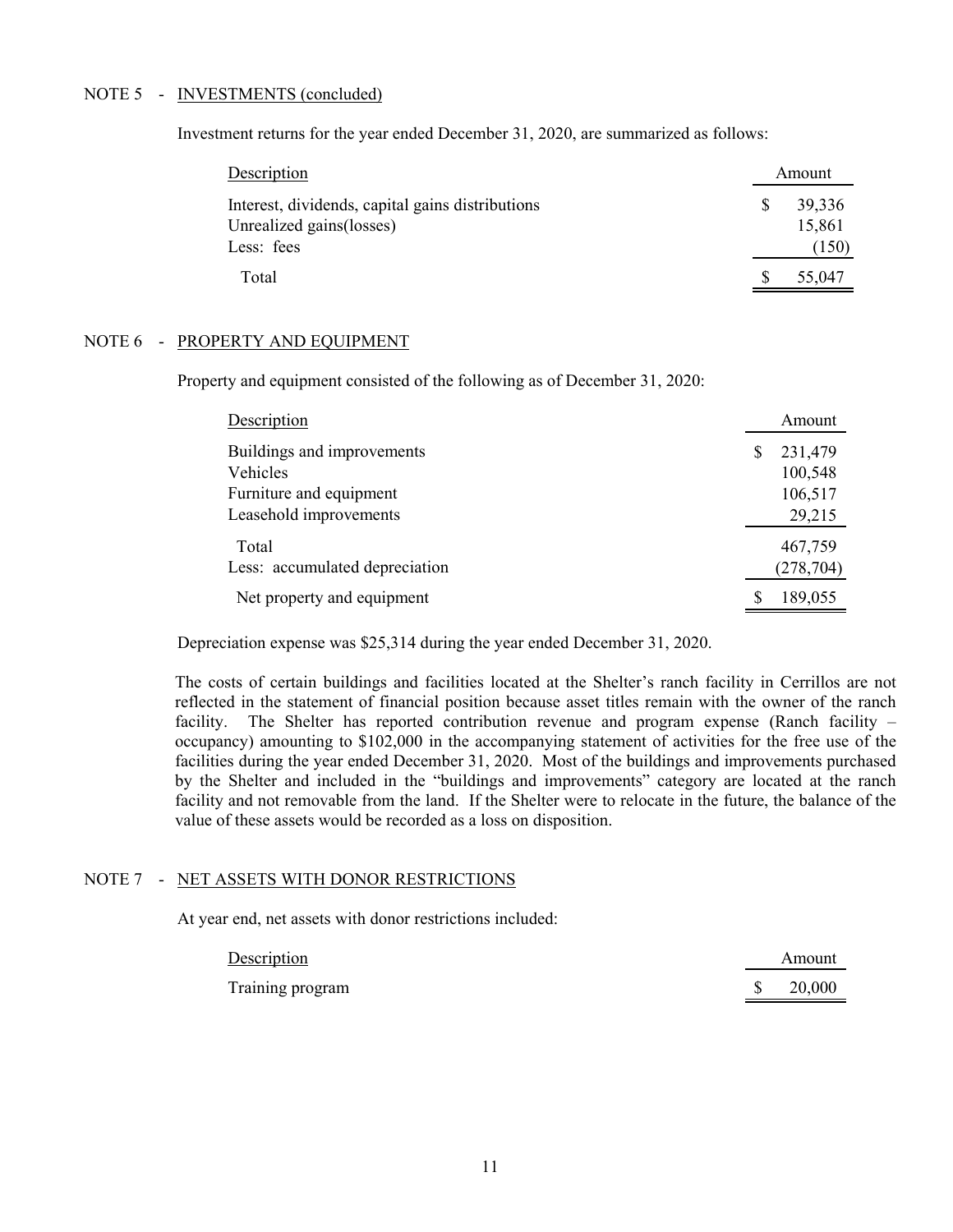#### NOTE 5 - INVESTMENTS (concluded)

Investment returns for the year ended December 31, 2020, are summarized as follows:

| Description                                                                                 | Amount       |                           |
|---------------------------------------------------------------------------------------------|--------------|---------------------------|
| Interest, dividends, capital gains distributions<br>Unrealized gains (losses)<br>Less: fees | <sup>S</sup> | 39,336<br>15,861<br>(150) |
| Total                                                                                       |              | 55,047                    |

#### NOTE 6 - PROPERTY AND EQUIPMENT

Property and equipment consisted of the following as of December 31, 2020:

| Description                    |   | Amount     |
|--------------------------------|---|------------|
| Buildings and improvements     | S | 231,479    |
| Vehicles                       |   | 100,548    |
| Furniture and equipment        |   | 106,517    |
| Leasehold improvements         |   | 29,215     |
| Total                          |   | 467,759    |
| Less: accumulated depreciation |   | (278, 704) |
| Net property and equipment     | S | 189,055    |

Depreciation expense was \$25,314 during the year ended December 31, 2020.

The costs of certain buildings and facilities located at the Shelter's ranch facility in Cerrillos are not reflected in the statement of financial position because asset titles remain with the owner of the ranch facility. The Shelter has reported contribution revenue and program expense (Ranch facility – occupancy) amounting to \$102,000 in the accompanying statement of activities for the free use of the facilities during the year ended December 31, 2020. Most of the buildings and improvements purchased by the Shelter and included in the "buildings and improvements" category are located at the ranch facility and not removable from the land. If the Shelter were to relocate in the future, the balance of the value of these assets would be recorded as a loss on disposition.

### NOTE 7 - NET ASSETS WITH DONOR RESTRICTIONS

At year end, net assets with donor restrictions included:

| Description      | Amount |
|------------------|--------|
| Training program | 20,000 |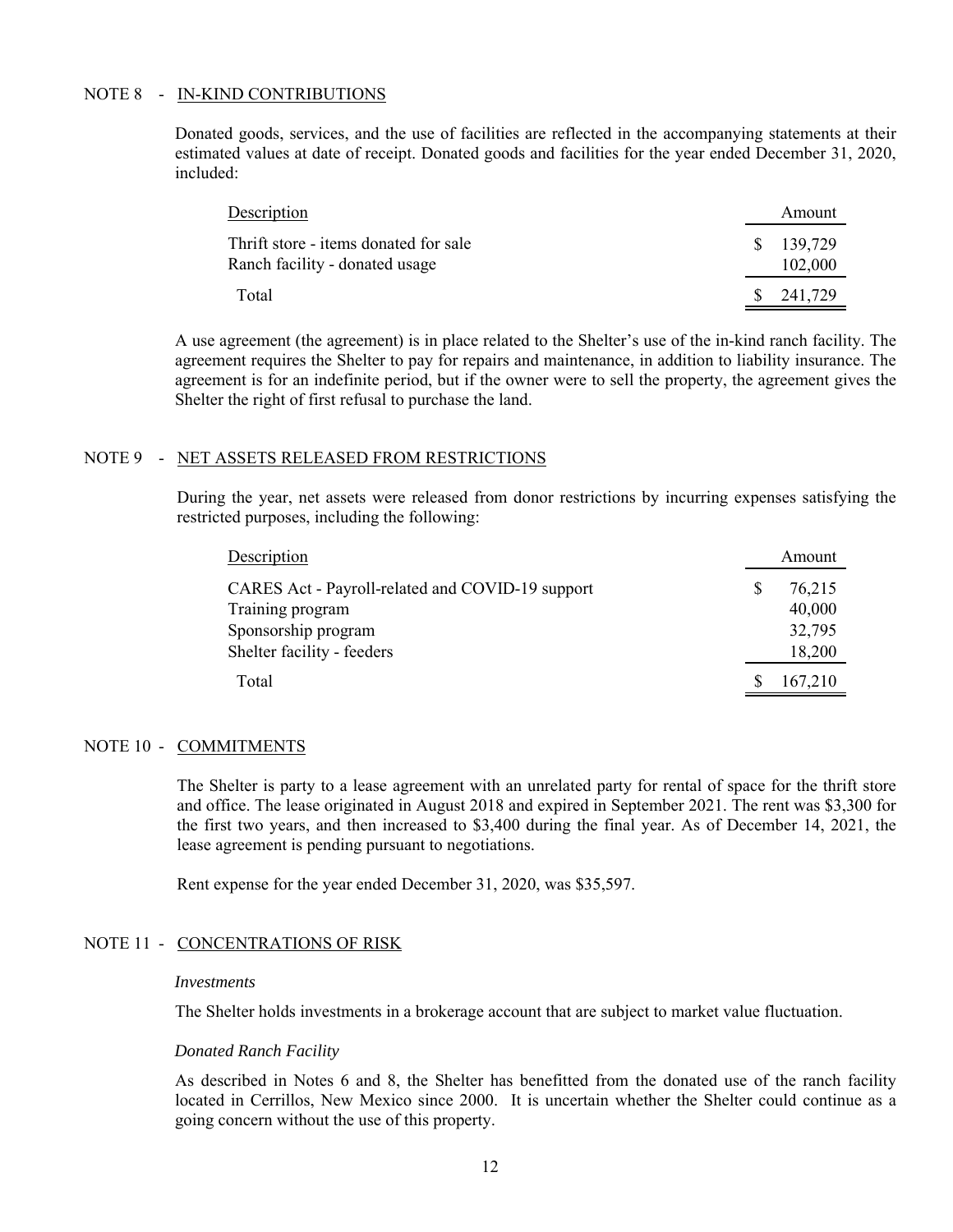#### NOTE 8 - IN-KIND CONTRIBUTIONS

Donated goods, services, and the use of facilities are reflected in the accompanying statements at their estimated values at date of receipt. Donated goods and facilities for the year ended December 31, 2020, included:

| Description                                                             |      | Amount             |
|-------------------------------------------------------------------------|------|--------------------|
| Thrift store - items donated for sale<br>Ranch facility - donated usage | -SS- | 139,729<br>102,000 |
| Total                                                                   | S.   | 241,729            |

A use agreement (the agreement) is in place related to the Shelter's use of the in-kind ranch facility. The agreement requires the Shelter to pay for repairs and maintenance, in addition to liability insurance. The agreement is for an indefinite period, but if the owner were to sell the property, the agreement gives the Shelter the right of first refusal to purchase the land.

#### NOTE 9 - NET ASSETS RELEASED FROM RESTRICTIONS

During the year, net assets were released from donor restrictions by incurring expenses satisfying the restricted purposes, including the following:

| Description                                      |    | Amount  |
|--------------------------------------------------|----|---------|
| CARES Act - Payroll-related and COVID-19 support | S. | 76,215  |
| Training program                                 |    | 40,000  |
| Sponsorship program                              |    | 32,795  |
| Shelter facility - feeders                       |    | 18,200  |
| Total                                            |    | 167,210 |

#### NOTE 10 - COMMITMENTS

The Shelter is party to a lease agreement with an unrelated party for rental of space for the thrift store and office. The lease originated in August 2018 and expired in September 2021. The rent was \$3,300 for the first two years, and then increased to \$3,400 during the final year. As of December 14, 2021, the lease agreement is pending pursuant to negotiations.

Rent expense for the year ended December 31, 2020, was \$35,597.

#### NOTE 11 - CONCENTRATIONS OF RISK

#### *Investments*

The Shelter holds investments in a brokerage account that are subject to market value fluctuation.

#### *Donated Ranch Facility*

As described in Notes 6 and 8, the Shelter has benefitted from the donated use of the ranch facility located in Cerrillos, New Mexico since 2000. It is uncertain whether the Shelter could continue as a going concern without the use of this property.